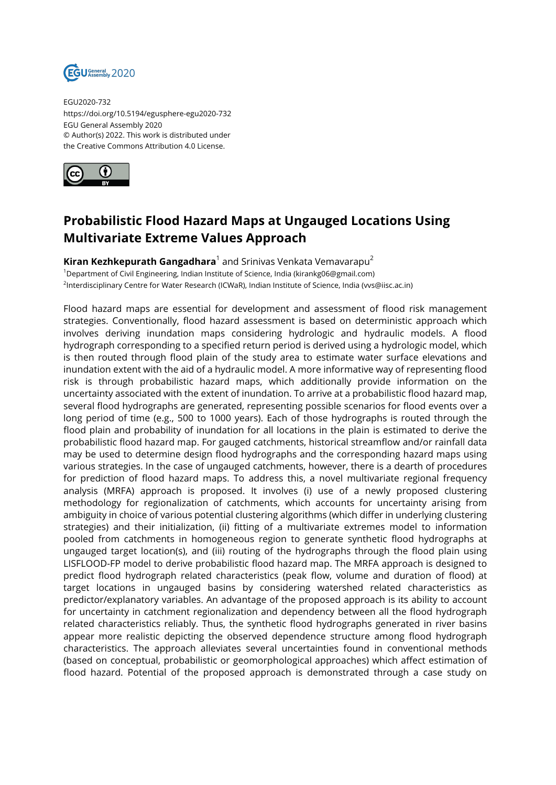

EGU2020-732 https://doi.org/10.5194/egusphere-egu2020-732 EGU General Assembly 2020 © Author(s) 2022. This work is distributed under the Creative Commons Attribution 4.0 License.



## **Probabilistic Flood Hazard Maps at Ungauged Locations Using Multivariate Extreme Values Approach**

**Kiran Kezhkepurath Gangadhara**<sup>1</sup> and Srinivas Venkata Vemavarapu<sup>2</sup>  $1$ Department of Civil Engineering, Indian Institute of Science, India (kirankg06@gmail.com) 2 Interdisciplinary Centre for Water Research (ICWaR), Indian Institute of Science, India (vvs@iisc.ac.in)

Flood hazard maps are essential for development and assessment of flood risk management strategies. Conventionally, flood hazard assessment is based on deterministic approach which involves deriving inundation maps considering hydrologic and hydraulic models. A flood hydrograph corresponding to a specified return period is derived using a hydrologic model, which is then routed through flood plain of the study area to estimate water surface elevations and inundation extent with the aid of a hydraulic model. A more informative way of representing flood risk is through probabilistic hazard maps, which additionally provide information on the uncertainty associated with the extent of inundation. To arrive at a probabilistic flood hazard map, several flood hydrographs are generated, representing possible scenarios for flood events over a long period of time (e.g., 500 to 1000 years). Each of those hydrographs is routed through the flood plain and probability of inundation for all locations in the plain is estimated to derive the probabilistic flood hazard map. For gauged catchments, historical streamflow and/or rainfall data may be used to determine design flood hydrographs and the corresponding hazard maps using various strategies. In the case of ungauged catchments, however, there is a dearth of procedures for prediction of flood hazard maps. To address this, a novel multivariate regional frequency analysis (MRFA) approach is proposed. It involves (i) use of a newly proposed clustering methodology for regionalization of catchments, which accounts for uncertainty arising from ambiguity in choice of various potential clustering algorithms (which differ in underlying clustering strategies) and their initialization, (ii) fitting of a multivariate extremes model to information pooled from catchments in homogeneous region to generate synthetic flood hydrographs at ungauged target location(s), and (iii) routing of the hydrographs through the flood plain using LISFLOOD-FP model to derive probabilistic flood hazard map. The MRFA approach is designed to predict flood hydrograph related characteristics (peak flow, volume and duration of flood) at target locations in ungauged basins by considering watershed related characteristics as predictor/explanatory variables. An advantage of the proposed approach is its ability to account for uncertainty in catchment regionalization and dependency between all the flood hydrograph related characteristics reliably. Thus, the synthetic flood hydrographs generated in river basins appear more realistic depicting the observed dependence structure among flood hydrograph characteristics. The approach alleviates several uncertainties found in conventional methods (based on conceptual, probabilistic or geomorphological approaches) which affect estimation of flood hazard. Potential of the proposed approach is demonstrated through a case study on